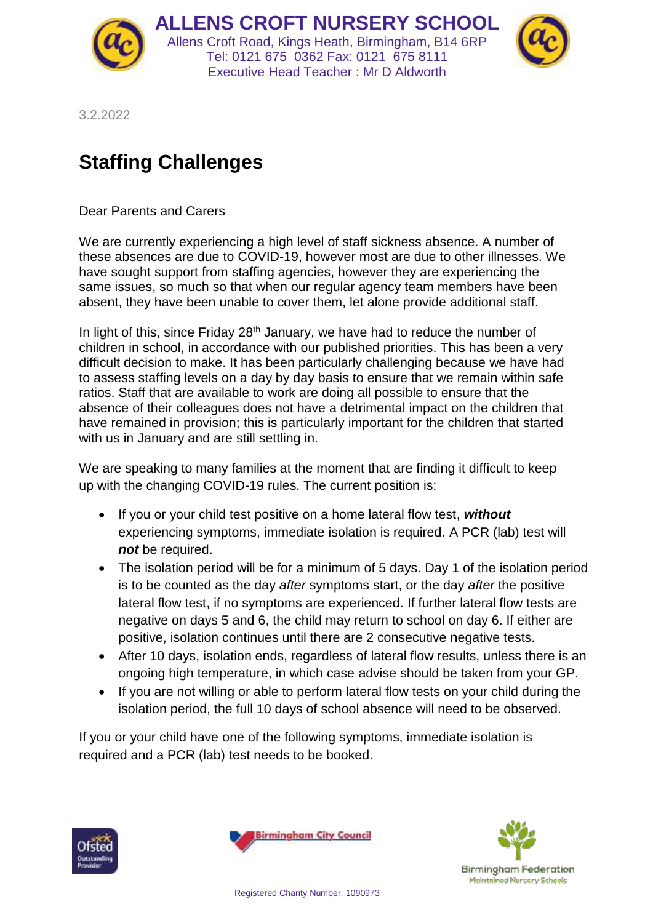

**ALLENS CROFT NURSERY SCHOOL** Allens Croft Road, Kings Heath, Birmingham, B14 6RP Tel: 0121 675 0362 Fax: 0121 675 8111 Executive Head Teacher : Mr D Aldworth



3.2.2022

## **Staffing Challenges**

Dear Parents and Carers

We are currently experiencing a high level of staff sickness absence. A number of these absences are due to COVID-19, however most are due to other illnesses. We have sought support from staffing agencies, however they are experiencing the same issues, so much so that when our regular agency team members have been absent, they have been unable to cover them, let alone provide additional staff.

In light of this, since Friday  $28<sup>th</sup>$  January, we have had to reduce the number of children in school, in accordance with our published priorities. This has been a very difficult decision to make. It has been particularly challenging because we have had to assess staffing levels on a day by day basis to ensure that we remain within safe ratios. Staff that are available to work are doing all possible to ensure that the absence of their colleagues does not have a detrimental impact on the children that have remained in provision; this is particularly important for the children that started with us in January and are still settling in.

We are speaking to many families at the moment that are finding it difficult to keep up with the changing COVID-19 rules. The current position is:

- If you or your child test positive on a home lateral flow test, without experiencing symptoms, immediate isolation is required. A PCR (lab) test will *not* be required.
- The isolation period will be for a minimum of 5 days. Day 1 of the isolation period is to be counted as the day *after* symptoms start, or the day *after* the positive lateral flow test, if no symptoms are experienced. If further lateral flow tests are negative on days 5 and 6, the child may return to school on day 6. If either are positive, isolation continues until there are 2 consecutive negative tests.
- After 10 days, isolation ends, regardless of lateral flow results, unless there is an ongoing high temperature, in which case advise should be taken from your GP.
- If you are not willing or able to perform lateral flow tests on your child during the isolation period, the full 10 days of school absence will need to be observed.

If you or your child have one of the following symptoms, immediate isolation is required and a PCR (lab) test needs to be booked.